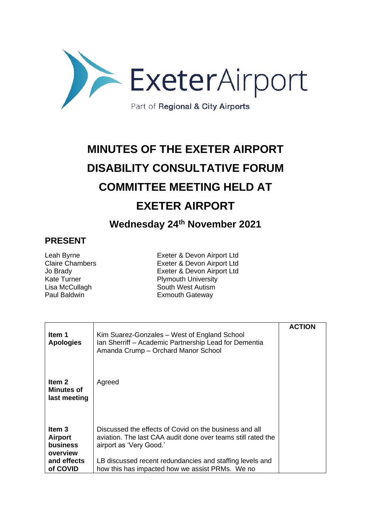

## **MINUTES OF THE EXETER AIRPORT DISABILITY CONSULTATIVE FORUM COMMITTEE MEETING HELD AT EXETER AIRPORT**

**Wednesday 24th November 2021**

## **PRESENT**

Leah Byrne<br>
Claire Chambers<br>
Exeter & Devon Airport Ltd<br>
Exeter & Devon Airport Ltd Exeter & Devon Airport Ltd Jo Brady<br>
Kate Turner<br>
Kate Turner<br>
Exeter & Devon Airport Ltd Plymouth University Lisa McCullagh South West Autism<br>
Paul Baldwin Sateway<br>
Exmouth Gateway **Exmouth Gateway** 

| Item 1<br><b>Apologies</b>                                                         | Kim Suarez-Gonzales – West of England School<br>Ian Sherriff – Academic Partnership Lead for Dementia<br>Amanda Crump - Orchard Manor School                                                                                                                     | <b>ACTION</b> |
|------------------------------------------------------------------------------------|------------------------------------------------------------------------------------------------------------------------------------------------------------------------------------------------------------------------------------------------------------------|---------------|
| Item 2<br><b>Minutes of</b><br>last meeting                                        | Agreed                                                                                                                                                                                                                                                           |               |
| Item 3<br><b>Airport</b><br><b>business</b><br>overview<br>and effects<br>of COVID | Discussed the effects of Covid on the business and all<br>aviation. The last CAA audit done over teams still rated the<br>airport as 'Very Good.'<br>LB discussed recent redundancies and staffing levels and<br>how this has impacted how we assist PRMs. We no |               |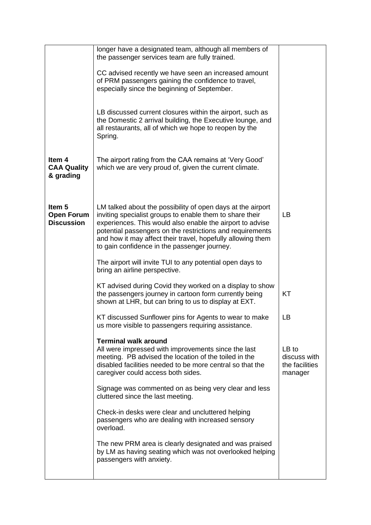| the passenger services team are fully trained.                                                                                                                                                                                                                                                                                                                   |                                                        |
|------------------------------------------------------------------------------------------------------------------------------------------------------------------------------------------------------------------------------------------------------------------------------------------------------------------------------------------------------------------|--------------------------------------------------------|
| CC advised recently we have seen an increased amount<br>of PRM passengers gaining the confidence to travel,<br>especially since the beginning of September.                                                                                                                                                                                                      |                                                        |
| LB discussed current closures within the airport, such as<br>the Domestic 2 arrival building, the Executive lounge, and<br>all restaurants, all of which we hope to reopen by the<br>Spring.                                                                                                                                                                     |                                                        |
| The airport rating from the CAA remains at 'Very Good'<br>which we are very proud of, given the current climate.                                                                                                                                                                                                                                                 |                                                        |
| LM talked about the possibility of open days at the airport<br>inviting specialist groups to enable them to share their<br>experiences. This would also enable the airport to advise<br>potential passengers on the restrictions and requirements<br>and how it may affect their travel, hopefully allowing them<br>to gain confidence in the passenger journey. | LB                                                     |
| The airport will invite TUI to any potential open days to<br>bring an airline perspective.                                                                                                                                                                                                                                                                       |                                                        |
| KT advised during Covid they worked on a display to show<br>the passengers journey in cartoon form currently being<br>shown at LHR, but can bring to us to display at EXT.                                                                                                                                                                                       | KT                                                     |
| KT discussed Sunflower pins for Agents to wear to make<br>us more visible to passengers requiring assistance.                                                                                                                                                                                                                                                    | LB                                                     |
| <b>Terminal walk around</b><br>All were impressed with improvements since the last<br>meeting. PB advised the location of the toiled in the<br>disabled facilities needed to be more central so that the<br>caregiver could access both sides.                                                                                                                   | LB to<br>discuss with<br>the facilities<br>manager     |
| Signage was commented on as being very clear and less<br>cluttered since the last meeting.                                                                                                                                                                                                                                                                       |                                                        |
| Check-in desks were clear and uncluttered helping<br>passengers who are dealing with increased sensory<br>overload.                                                                                                                                                                                                                                              |                                                        |
| The new PRM area is clearly designated and was praised<br>by LM as having seating which was not overlooked helping<br>passengers with anxiety.                                                                                                                                                                                                                   |                                                        |
|                                                                                                                                                                                                                                                                                                                                                                  | longer have a designated team, although all members of |